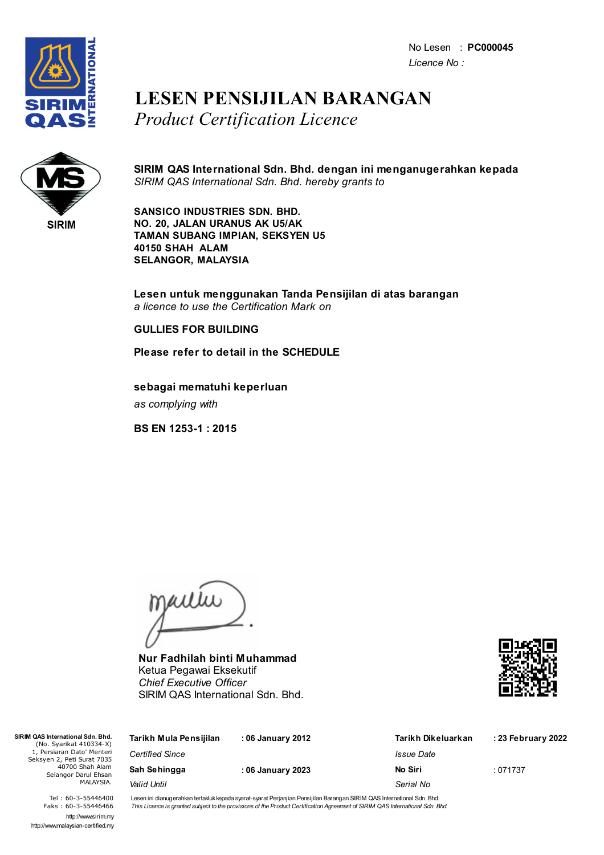No Lesen : **PC000045** *Licence No :*



### **LESEN PENSIJILAN BARANGAN** *Product Certification Licence*



**SIRIM QAS International Sdn. Bhd. dengan ini menganugerahkan kepada** *SIRIM QAS International Sdn. Bhd. hereby grants to*

**SANSICO INDUSTRIES SDN. BHD. NO. 20, JALAN URANUS AK U5/AK TAMAN SUBANG IMPIAN, SEKSYEN U5 40150 SHAH ALAM SELANGOR, MALAYSIA**

**Lesen untuk menggunakan Tanda Pensijilan di atas barangan** *a licence to use the Certification Mark on*

#### **GULLIES FOR BUILDING**

**Please refer to detail in the SCHEDULE**

**sebagai mematuhi keperluan** *as complying with*

**BS EN 1253-1 : 2015**

jailie

**Nur Fadhilah binti Muhammad** Ketua Pegawai Eksekutif *Chief Executive Officer* SIRIM QAS International Sdn. Bhd.



| Tarikh Mula Pensijilan | : 06 January 2012 | Tarikh Dikeluarkan | : 23 February 2022 |
|------------------------|-------------------|--------------------|--------------------|
| <b>Certified Since</b> |                   | Issue Date         |                    |
| Sah Sehingga           | : 06 January 2023 | No Siri            | :071737            |
| Valid Until            |                   | Serial No          |                    |
|                        |                   |                    |                    |

Tel : 60-3-55446400 Faks : 60-3-55446466 http://www.sirim.my http://www.malaysian-certified.my

 $SIRIMO4$ 

Seks<sup>1</sup>

Lesen ini dianugerahkan tertakluk kepada syarat-syarat Perjanjian Pensijilan Barangan SIRIM QAS International Sdn. Bhd. This Licence is granted subject to the provisions of the Product Certification Agreement of SIRIM QAS International Sdn. Bhd.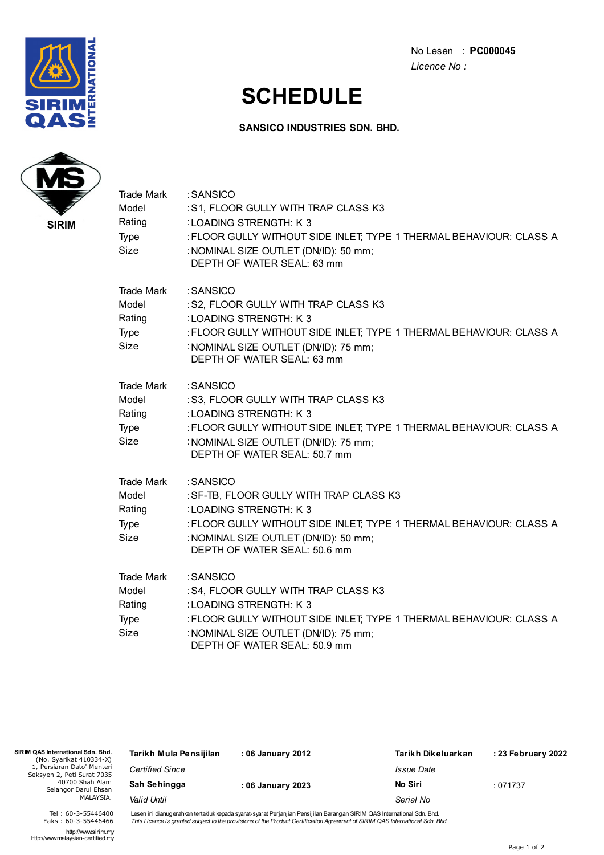

No Lesen : **PC000045** *Licence No :*

# **SCHEDULE**

### **SANSICO INDUSTRIES SDN. BHD.**



| <b>Trade Mark</b><br>Model<br>Rating<br>Type<br>Size | :SANSICO<br>:S1, FLOOR GULLY WITH TRAP CLASS K3<br>:LOADING STRENGTH: K3<br>: FLOOR GULLY WITHOUT SIDE INLET; TYPE 1 THERMAL BEHAVIOUR: CLASS A<br>: NOMINAL SIZE OUTLET (DN/ID): 50 mm;<br>DEPTH OF WATER SEAL: 63 mm        |
|------------------------------------------------------|-------------------------------------------------------------------------------------------------------------------------------------------------------------------------------------------------------------------------------|
| <b>Trade Mark</b><br>Model<br>Rating<br>Type<br>Size | :SANSICO<br>:S2, FLOOR GULLY WITH TRAP CLASS K3<br>:LOADING STRENGTH: K3<br>: FLOOR GULLY WITHOUT SIDE INLET; TYPE 1 THERMAL BEHAVIOUR: CLASS A<br>: NOMINAL SIZE OUTLET (DN/ID): 75 mm;<br>DEPTH OF WATER SEAL: 63 mm        |
| Trade Mark<br>Model<br>Rating<br>Type<br>Size        | :SANSICO<br>:S3, FLOOR GULLY WITH TRAP CLASS K3<br>:LOADING STRENGTH: K 3<br>: FLOOR GULLY WITHOUT SIDE INLET; TYPE 1 THERMAL BEHAVIOUR: CLASS A<br>: NOMINAL SIZE OUTLET (DN/ID): 75 mm;<br>DEPTH OF WATER SEAL: 50.7 mm     |
| Trade Mark<br>Model<br>Rating<br>Type<br>Size        | :SANSICO<br>: SF-TB, FLOOR GULLY WITH TRAP CLASS K3<br>: LOADING STRENGTH: K3<br>: FLOOR GULLY WITHOUT SIDE INLET; TYPE 1 THERMAL BEHAVIOUR: CLASS A<br>: NOMINAL SIZE OUTLET (DN/ID): 50 mm;<br>DEPTH OF WATER SEAL: 50.6 mm |
| Trade Mark<br>Model<br>Rating<br>Type<br>Size        | :SANSICO<br>:S4, FLOOR GULLY WITH TRAP CLASS K3<br>:LOADING STRENGTH: K3<br>: FLOOR GULLY WITHOUT SIDE INLET; TYPE 1 THERMAL BEHAVIOUR: CLASS A<br>: NOMINAL SIZE OUTLET (DN/ID): 75 mm;<br>DEPTH OF WATER SEAL: 50.9 mm      |

| SIRIM QAS International Sdn. Bhd.<br>(No. Syarikat 410334-X)                                                     | Tarikh Mula Pensijilan | : 06 January 2012 | Tarikh Dikeluarkan | : 23 February 2022 |
|------------------------------------------------------------------------------------------------------------------|------------------------|-------------------|--------------------|--------------------|
| 1, Persiaran Dato' Menteri<br>Seksyen 2, Peti Surat 7035<br>40700 Shah Alam<br>Selangor Darul Ehsan<br>MALAYSIA. | <b>Certified Since</b> |                   | Issue Date         |                    |
|                                                                                                                  | Sah Sehingga           | : 06 January 2023 | No Siri            | :071737            |
|                                                                                                                  | Valid Until            |                   | Serial No          |                    |
|                                                                                                                  |                        |                   |                    |                    |

Lesen ini dianugerahkan tertakluk kepada syarat-syarat Perjanjian Pensijilan Barangan SIRIM QAS International Sdn. Bhd.<br>*This Licence is granted subject to the provisions of the Product Certification Agreement of SIRIM QAS* 

http://www.sirim.my http://www.malaysian-certified.my

Tel : 60-3-55446400 Faks : 60-3-55446466